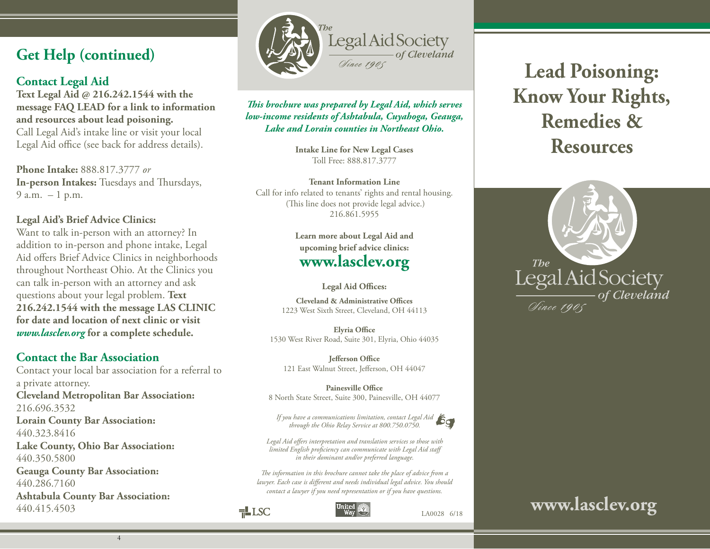# **Get Help (continued)**

# **Contact Legal Aid**

**Text Legal Aid @ 216.242.1544 with the message FAQ LEAD for a link to information and resources about lead poisoning.** Call Legal Aid's intake line or visit your local Legal Aid office (see back for address details).

**Phone Intake:** 888.817.3777 *or* **In-person Intakes:** Tuesdays and Thursdays,  $9 a.m. - 1 p.m.$ 

#### **Legal Aid's Brief Advice Clinics:**

Want to talk in-person with an attorney? In addition to in-person and phone intake, Legal Aid offers Brief Advice Clinics in neighborhoods throughout Northeast Ohio. At the Clinics you can talk in-person with an attorney and ask questions about your legal problem. **Text 216.242.1544 with the message LAS CLINIC for date and location of next clinic or visit**  *www.lasclev.org* **for a complete schedule.**

## **Contact the Bar Association**

Contact your local bar association for a referral to a private attorney. **Cleveland Metropolitan Bar Association:** 216.696.3532 **Lorain County Bar Association:** 440.323.8416 **Lake County, Ohio Bar Association:** 440.350.5800 **Geauga County Bar Association:** 440.286.7160 **Ashtabula County Bar Association:** 440.415.4503

4



### *This brochure was prepared by Legal Aid, which serves low-income residents of Ashtabula, Cuyahoga, Geauga, Lake and Lorain counties in Northeast Ohio.*

**Intake Line for New Legal Cases** Toll Free: 888.817.3777

**Tenant Information Line** Call for info related to tenants' rights and rental housing. (This line does not provide legal advice.) 216.861.5955

> **Learn more about Legal Aid and upcoming brief advice clinics: www.lasclev.org**

> > **Legal Aid Offices:**

**Cleveland & Administrative Offices** 1223 West Sixth Street, Cleveland, OH 44113

**Elyria Office** 1530 West River Road, Suite 301, Elyria, Ohio 44035

**Jefferson Office**  121 East Walnut Street, Jefferson, OH 44047

**Painesville Office**  8 North State Street, Suite 300, Painesville, OH 44077

*If you have a communications limitation, contact Legal Aid through the Ohio Relay Service at 800.750.0750.* 



LA0028 6/18

*Legal Aid offers interpretation and translation services so those with limited English proficiency can communicate with Legal Aid staff in their dominant and/or preferred language.* 

*The information in this brochure cannot take the place of advice from a lawyer. Each case is different and needs individual legal advice. You should contact a lawyer if you need representation or if you have questions.*



 $\exists$ LSC



**Lead Poisoning: Know Your Rights, Remedies & Resources**



# **www.lasclev.org**